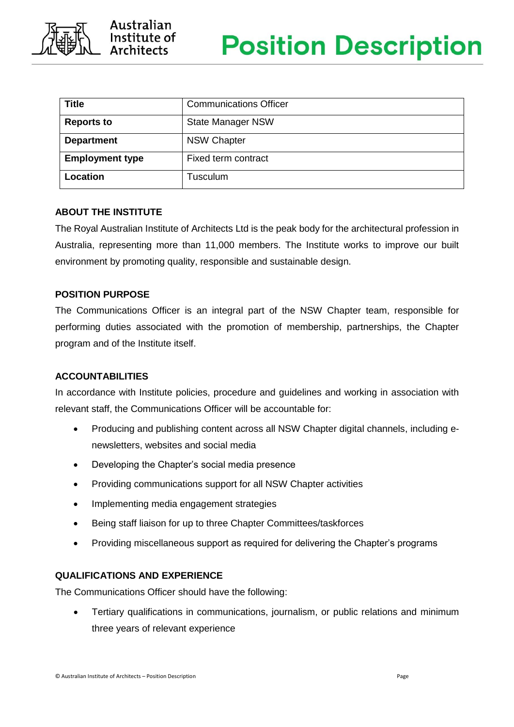

| <b>Title</b>           | <b>Communications Officer</b> |
|------------------------|-------------------------------|
| <b>Reports to</b>      | <b>State Manager NSW</b>      |
| <b>Department</b>      | <b>NSW Chapter</b>            |
| <b>Employment type</b> | Fixed term contract           |
| Location               | Tusculum                      |

# **ABOUT THE INSTITUTE**

The Royal Australian Institute of Architects Ltd is the peak body for the architectural profession in Australia, representing more than 11,000 members. The Institute works to improve our built environment by promoting quality, responsible and sustainable design.

# **POSITION PURPOSE**

The Communications Officer is an integral part of the NSW Chapter team, responsible for performing duties associated with the promotion of membership, partnerships, the Chapter program and of the Institute itself.

# **ACCOUNTABILITIES**

In accordance with Institute policies, procedure and guidelines and working in association with relevant staff, the Communications Officer will be accountable for:

- Producing and publishing content across all NSW Chapter digital channels, including enewsletters, websites and social media
- Developing the Chapter's social media presence
- Providing communications support for all NSW Chapter activities
- Implementing media engagement strategies
- Being staff liaison for up to three Chapter Committees/taskforces
- Providing miscellaneous support as required for delivering the Chapter's programs

## **QUALIFICATIONS AND EXPERIENCE**

The Communications Officer should have the following:

• Tertiary qualifications in communications, journalism, or public relations and minimum three years of relevant experience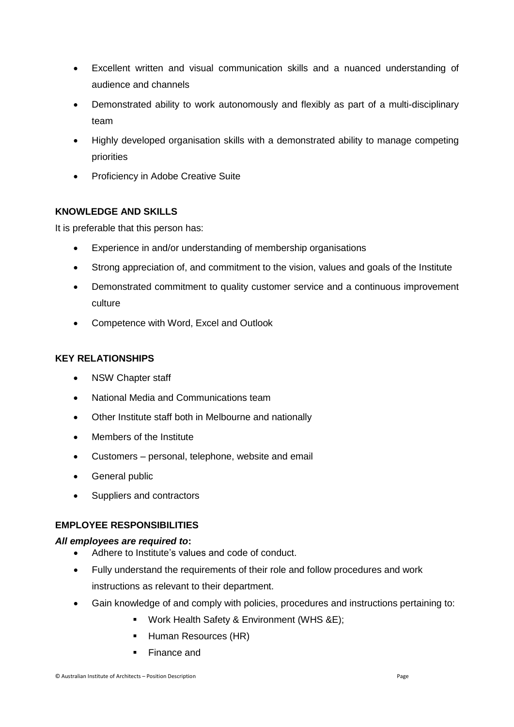- Excellent written and visual communication skills and a nuanced understanding of audience and channels
- Demonstrated ability to work autonomously and flexibly as part of a multi-disciplinary team
- Highly developed organisation skills with a demonstrated ability to manage competing priorities
- Proficiency in Adobe Creative Suite

# **KNOWLEDGE AND SKILLS**

It is preferable that this person has:

- Experience in and/or understanding of membership organisations
- Strong appreciation of, and commitment to the vision, values and goals of the Institute
- Demonstrated commitment to quality customer service and a continuous improvement culture
- Competence with Word, Excel and Outlook

# **KEY RELATIONSHIPS**

- NSW Chapter staff
- National Media and Communications team
- Other Institute staff both in Melbourne and nationally
- Members of the Institute
- Customers personal, telephone, website and email
- General public
- Suppliers and contractors

## **EMPLOYEE RESPONSIBILITIES**

## *All employees are required to***:**

- Adhere to Institute's values and code of conduct.
- Fully understand the requirements of their role and follow procedures and work instructions as relevant to their department.
- Gain knowledge of and comply with policies, procedures and instructions pertaining to:
	- Work Health Safety & Environment (WHS &E);
	- Human Resources (HR)
	- Finance and